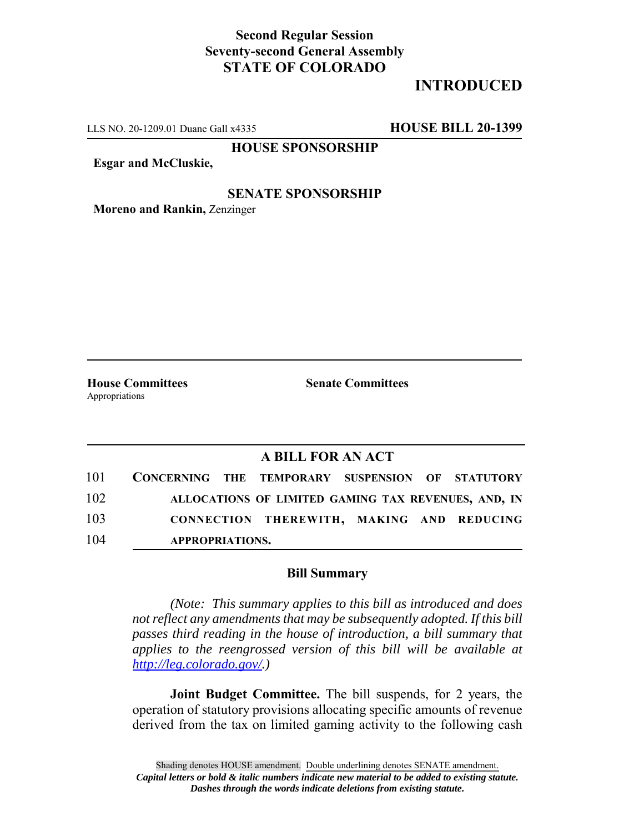### **Second Regular Session Seventy-second General Assembly STATE OF COLORADO**

# **INTRODUCED**

LLS NO. 20-1209.01 Duane Gall x4335 **HOUSE BILL 20-1399**

**HOUSE SPONSORSHIP**

**Esgar and McCluskie,**

#### **SENATE SPONSORSHIP**

**Moreno and Rankin,** Zenzinger

Appropriations

**House Committees Senate Committees**

#### **A BILL FOR AN ACT**

| 101 | CONCERNING THE TEMPORARY SUSPENSION OF STATUTORY |                                                     |  |  |
|-----|--------------------------------------------------|-----------------------------------------------------|--|--|
| 102 |                                                  | ALLOCATIONS OF LIMITED GAMING TAX REVENUES, AND, IN |  |  |
| 103 |                                                  | CONNECTION THEREWITH, MAKING AND REDUCING           |  |  |
| 104 | APPROPRIATIONS.                                  |                                                     |  |  |

#### **Bill Summary**

*(Note: This summary applies to this bill as introduced and does not reflect any amendments that may be subsequently adopted. If this bill passes third reading in the house of introduction, a bill summary that applies to the reengrossed version of this bill will be available at http://leg.colorado.gov/.)*

**Joint Budget Committee.** The bill suspends, for 2 years, the operation of statutory provisions allocating specific amounts of revenue derived from the tax on limited gaming activity to the following cash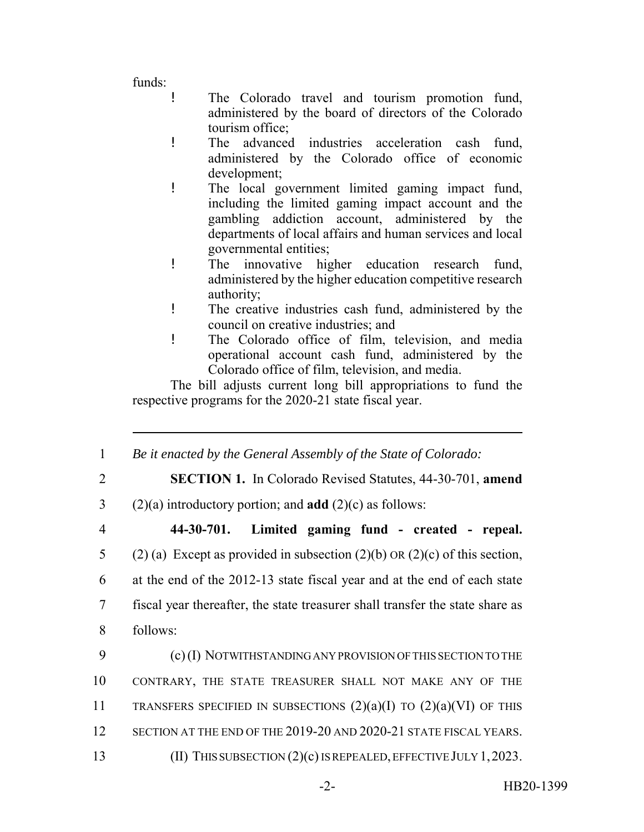funds:

- ! The Colorado travel and tourism promotion fund, administered by the board of directors of the Colorado tourism office;
- ! The advanced industries acceleration cash fund, administered by the Colorado office of economic development;
- ! The local government limited gaming impact fund, including the limited gaming impact account and the gambling addiction account, administered by the departments of local affairs and human services and local governmental entities;
- ! The innovative higher education research fund, administered by the higher education competitive research authority;
- ! The creative industries cash fund, administered by the council on creative industries; and
- ! The Colorado office of film, television, and media operational account cash fund, administered by the Colorado office of film, television, and media.

The bill adjusts current long bill appropriations to fund the respective programs for the 2020-21 state fiscal year.

- 1 *Be it enacted by the General Assembly of the State of Colorado:*
- 

2 **SECTION 1.** In Colorado Revised Statutes, 44-30-701, **amend**

3 (2)(a) introductory portion; and **add** (2)(c) as follows:

## 4 **44-30-701. Limited gaming fund - created - repeal.**

5 (2) (a) Except as provided in subsection (2)(b) OR (2)(c) of this section, 6 at the end of the 2012-13 state fiscal year and at the end of each state 7 fiscal year thereafter, the state treasurer shall transfer the state share as 8 follows:

9 (c) (I) NOTWITHSTANDING ANY PROVISION OF THIS SECTION TO THE 10 CONTRARY, THE STATE TREASURER SHALL NOT MAKE ANY OF THE 11 TRANSFERS SPECIFIED IN SUBSECTIONS  $(2)(a)(I)$  TO  $(2)(a)(VI)$  OF THIS 12 SECTION AT THE END OF THE 2019-20 AND 2020-21 STATE FISCAL YEARS. 13 (II) THIS SUBSECTION (2)(c) IS REPEALED, EFFECTIVE JULY 1, 2023.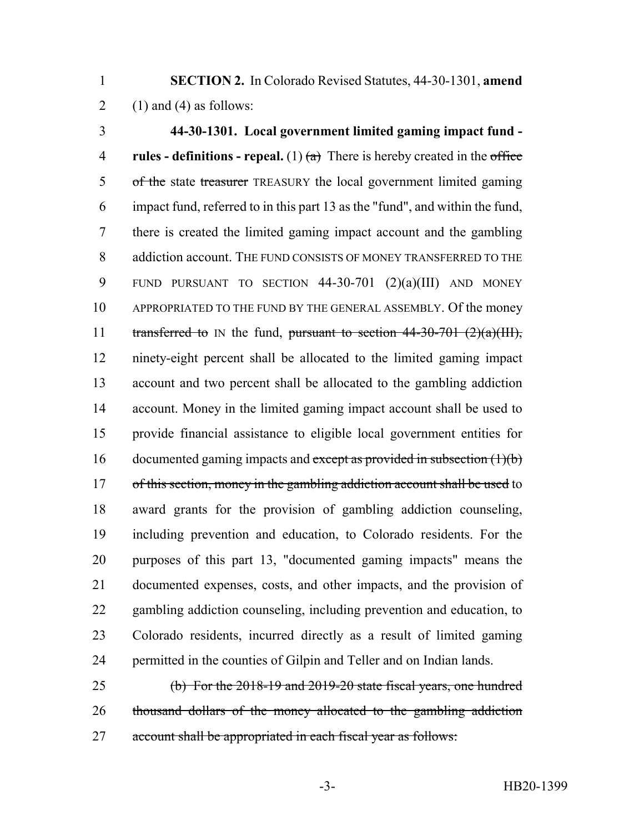**SECTION 2.** In Colorado Revised Statutes, 44-30-1301, **amend** 2 (1) and (4) as follows:

 **44-30-1301. Local government limited gaming impact fund - rules - definitions - repeal.** (1)  $\left(\frac{a}{b}\right)$  There is hereby created in the office 5 of the state treasurer TREASURY the local government limited gaming impact fund, referred to in this part 13 as the "fund", and within the fund, there is created the limited gaming impact account and the gambling 8 addiction account. THE FUND CONSISTS OF MONEY TRANSFERRED TO THE FUND PURSUANT TO SECTION 44-30-701 (2)(a)(III) AND MONEY APPROPRIATED TO THE FUND BY THE GENERAL ASSEMBLY. Of the money 11 transferred to IN the fund, pursuant to section  $44-30-701$   $(2)(a)(III)$ , ninety-eight percent shall be allocated to the limited gaming impact account and two percent shall be allocated to the gambling addiction account. Money in the limited gaming impact account shall be used to provide financial assistance to eligible local government entities for 16 documented gaming impacts and except as provided in subsection (1)(b) 17 of this section, money in the gambling addiction account shall be used to award grants for the provision of gambling addiction counseling, including prevention and education, to Colorado residents. For the purposes of this part 13, "documented gaming impacts" means the documented expenses, costs, and other impacts, and the provision of gambling addiction counseling, including prevention and education, to Colorado residents, incurred directly as a result of limited gaming permitted in the counties of Gilpin and Teller and on Indian lands.

 (b) For the 2018-19 and 2019-20 state fiscal years, one hundred thousand dollars of the money allocated to the gambling addiction account shall be appropriated in each fiscal year as follows: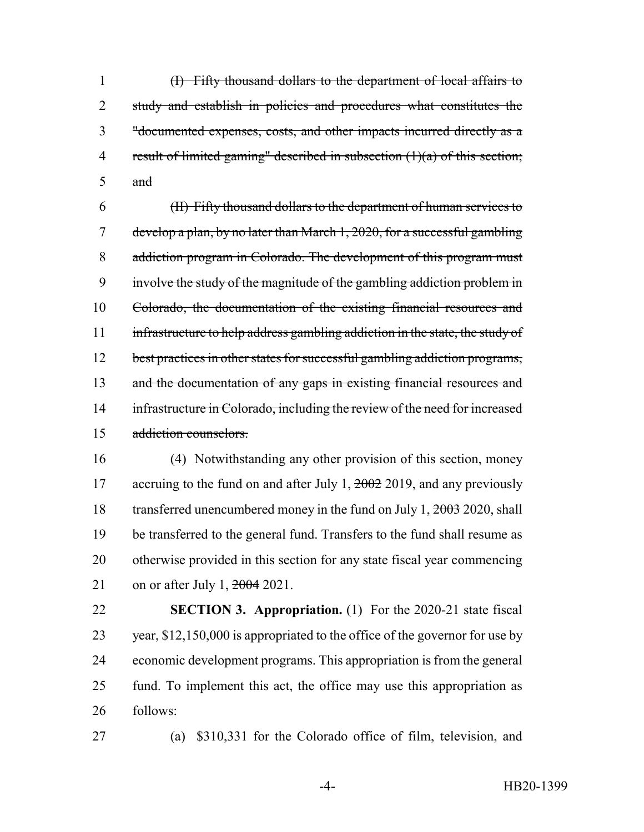(I) Fifty thousand dollars to the department of local affairs to 2 study and establish in policies and procedures what constitutes the "documented expenses, costs, and other impacts incurred directly as a result of limited gaming" described in subsection (1)(a) of this section; and

 (II) Fifty thousand dollars to the department of human services to develop a plan, by no later than March 1, 2020, for a successful gambling addiction program in Colorado. The development of this program must involve the study of the magnitude of the gambling addiction problem in Colorado, the documentation of the existing financial resources and 11 infrastructure to help address gambling addiction in the state, the study of 12 best practices in other states for successful gambling addiction programs, 13 and the documentation of any gaps in existing financial resources and 14 infrastructure in Colorado, including the review of the need for increased addiction counselors.

 (4) Notwithstanding any other provision of this section, money 17 accruing to the fund on and after July 1, 2002 2019, and any previously 18 transferred unencumbered money in the fund on July 1, 2003 2020, shall be transferred to the general fund. Transfers to the fund shall resume as otherwise provided in this section for any state fiscal year commencing 21 on or after July 1, <del>2004</del> 2021.

 **SECTION 3. Appropriation.** (1) For the 2020-21 state fiscal year, \$12,150,000 is appropriated to the office of the governor for use by economic development programs. This appropriation is from the general fund. To implement this act, the office may use this appropriation as follows:

(a) \$310,331 for the Colorado office of film, television, and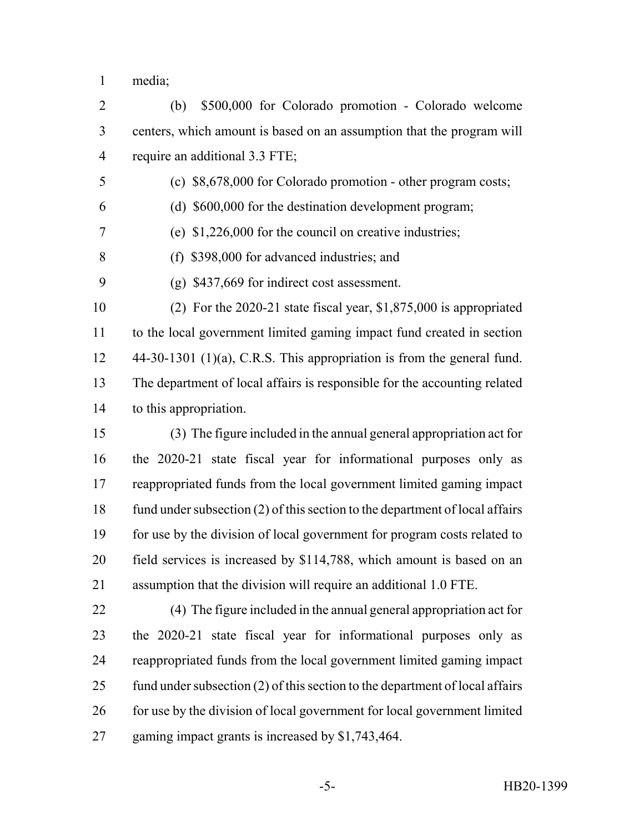media;

 (b) \$500,000 for Colorado promotion - Colorado welcome centers, which amount is based on an assumption that the program will require an additional 3.3 FTE;

- (c) \$8,678,000 for Colorado promotion other program costs;
- (d) \$600,000 for the destination development program;
- (e) \$1,226,000 for the council on creative industries;
- (f) \$398,000 for advanced industries; and
- (g) \$437,669 for indirect cost assessment.

 (2) For the 2020-21 state fiscal year, \$1,875,000 is appropriated to the local government limited gaming impact fund created in section 44-30-1301 (1)(a), C.R.S. This appropriation is from the general fund. The department of local affairs is responsible for the accounting related to this appropriation.

 (3) The figure included in the annual general appropriation act for the 2020-21 state fiscal year for informational purposes only as reappropriated funds from the local government limited gaming impact 18 fund under subsection (2) of this section to the department of local affairs for use by the division of local government for program costs related to field services is increased by \$114,788, which amount is based on an assumption that the division will require an additional 1.0 FTE.

 (4) The figure included in the annual general appropriation act for the 2020-21 state fiscal year for informational purposes only as reappropriated funds from the local government limited gaming impact 25 fund under subsection (2) of this section to the department of local affairs 26 for use by the division of local government for local government limited gaming impact grants is increased by \$1,743,464.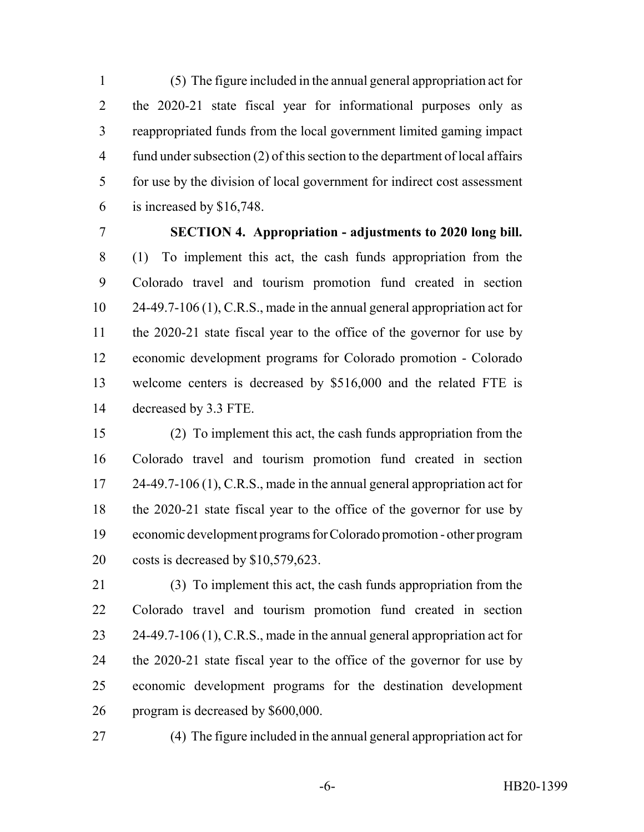(5) The figure included in the annual general appropriation act for the 2020-21 state fiscal year for informational purposes only as reappropriated funds from the local government limited gaming impact fund under subsection (2) of this section to the department of local affairs for use by the division of local government for indirect cost assessment is increased by \$16,748.

# **SECTION 4. Appropriation - adjustments to 2020 long bill.**

 (1) To implement this act, the cash funds appropriation from the Colorado travel and tourism promotion fund created in section 24-49.7-106 (1), C.R.S., made in the annual general appropriation act for the 2020-21 state fiscal year to the office of the governor for use by economic development programs for Colorado promotion - Colorado welcome centers is decreased by \$516,000 and the related FTE is decreased by 3.3 FTE.

 (2) To implement this act, the cash funds appropriation from the Colorado travel and tourism promotion fund created in section 17 24-49.7-106 (1), C.R.S., made in the annual general appropriation act for the 2020-21 state fiscal year to the office of the governor for use by economic development programs for Colorado promotion - other program costs is decreased by \$10,579,623.

 (3) To implement this act, the cash funds appropriation from the Colorado travel and tourism promotion fund created in section 23 24-49.7-106 (1), C.R.S., made in the annual general appropriation act for the 2020-21 state fiscal year to the office of the governor for use by economic development programs for the destination development program is decreased by \$600,000.

(4) The figure included in the annual general appropriation act for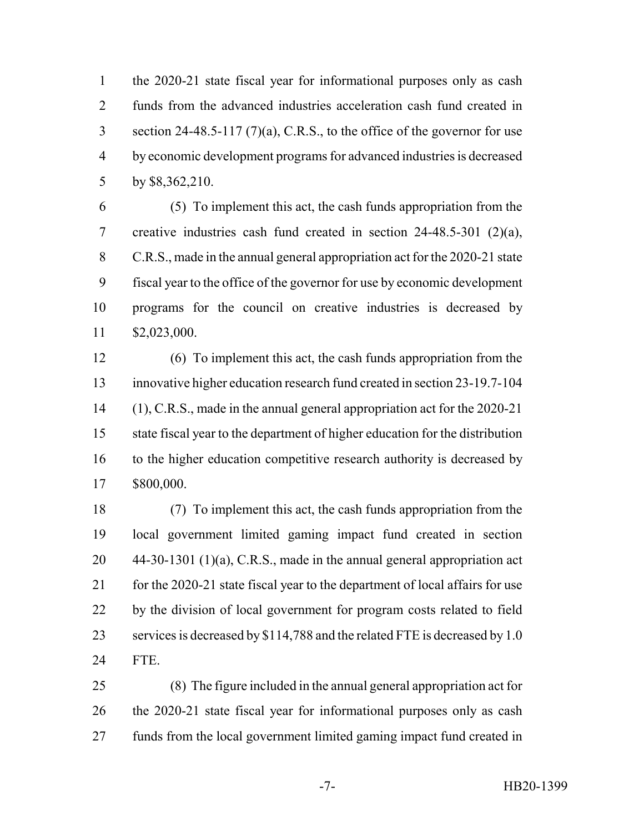the 2020-21 state fiscal year for informational purposes only as cash funds from the advanced industries acceleration cash fund created in section 24-48.5-117 (7)(a), C.R.S., to the office of the governor for use by economic development programs for advanced industries is decreased by \$8,362,210.

 (5) To implement this act, the cash funds appropriation from the creative industries cash fund created in section 24-48.5-301 (2)(a), C.R.S., made in the annual general appropriation act for the 2020-21 state fiscal year to the office of the governor for use by economic development programs for the council on creative industries is decreased by \$2,023,000.

 (6) To implement this act, the cash funds appropriation from the innovative higher education research fund created in section 23-19.7-104 (1), C.R.S., made in the annual general appropriation act for the 2020-21 state fiscal year to the department of higher education for the distribution 16 to the higher education competitive research authority is decreased by \$800,000.

 (7) To implement this act, the cash funds appropriation from the local government limited gaming impact fund created in section 44-30-1301 (1)(a), C.R.S., made in the annual general appropriation act 21 for the 2020-21 state fiscal year to the department of local affairs for use by the division of local government for program costs related to field 23 services is decreased by \$114,788 and the related FTE is decreased by 1.0 FTE.

 (8) The figure included in the annual general appropriation act for the 2020-21 state fiscal year for informational purposes only as cash funds from the local government limited gaming impact fund created in